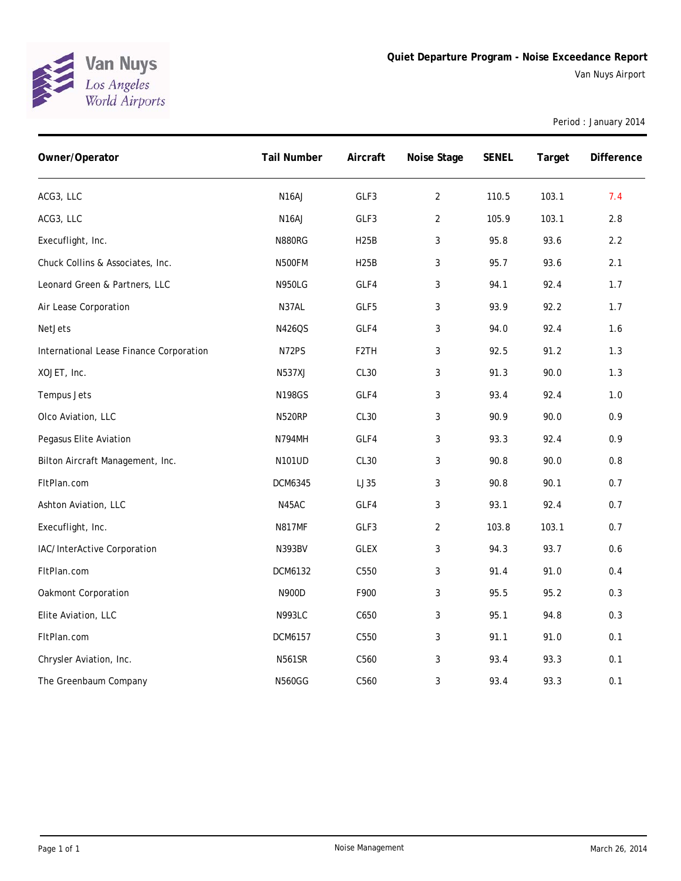

Period : January 2014

| Owner/Operator                          | <b>Tail Number</b> | Aircraft          | Noise Stage    | <b>SENEL</b> | Target | Difference |
|-----------------------------------------|--------------------|-------------------|----------------|--------------|--------|------------|
| ACG3, LLC                               | N <sub>16</sub> AJ | GLF3              | $\overline{2}$ | 110.5        | 103.1  | 7.4        |
| ACG3, LLC                               | N <sub>16</sub> AJ | GLF3              | $\overline{2}$ | 105.9        | 103.1  | 2.8        |
| Execuflight, Inc.                       | <b>N880RG</b>      | <b>H25B</b>       | 3              | 95.8         | 93.6   | 2.2        |
| Chuck Collins & Associates, Inc.        | N500FM             | <b>H25B</b>       | 3              | 95.7         | 93.6   | 2.1        |
| Leonard Green & Partners, LLC           | <b>N950LG</b>      | GLF4              | 3              | 94.1         | 92.4   | 1.7        |
| Air Lease Corporation                   | N37AL              | GLF5              | 3              | 93.9         | 92.2   | 1.7        |
| <b>NetJets</b>                          | N426QS             | GLF4              | 3              | 94.0         | 92.4   | 1.6        |
| International Lease Finance Corporation | N72PS              | F <sub>2</sub> TH | $\mathfrak{Z}$ | 92.5         | 91.2   | 1.3        |
| XOJET, Inc.                             | <b>N537XJ</b>      | CL30              | 3              | 91.3         | 90.0   | 1.3        |
| Tempus Jets                             | <b>N198GS</b>      | GLF4              | $\mathfrak{Z}$ | 93.4         | 92.4   | $1.0$      |
| Olco Aviation, LLC                      | <b>N520RP</b>      | CL <sub>30</sub>  | 3              | 90.9         | 90.0   | 0.9        |
| Pegasus Elite Aviation                  | <b>N794MH</b>      | GLF4              | 3              | 93.3         | 92.4   | 0.9        |
| Bilton Aircraft Management, Inc.        | N101UD             | <b>CL30</b>       | 3              | 90.8         | 90.0   | 0.8        |
| FItPlan.com                             | <b>DCM6345</b>     | LJ35              | 3              | 90.8         | 90.1   | 0.7        |
| Ashton Aviation, LLC                    | N45AC              | GLF4              | 3              | 93.1         | 92.4   | 0.7        |
| Execuflight, Inc.                       | <b>N817MF</b>      | GLF3              | $\overline{2}$ | 103.8        | 103.1  | 0.7        |
| IAC/InterActive Corporation             | <b>N393BV</b>      | <b>GLEX</b>       | 3              | 94.3         | 93.7   | 0.6        |
| FItPlan.com                             | DCM6132            | C550              | 3              | 91.4         | 91.0   | $0.4$      |
| Oakmont Corporation                     | N900D              | F900              | 3              | 95.5         | 95.2   | 0.3        |
| Elite Aviation, LLC                     | <b>N993LC</b>      | C650              | 3              | 95.1         | 94.8   | 0.3        |
| FItPlan.com                             | DCM6157            | C550              | 3              | 91.1         | 91.0   | 0.1        |
| Chrysler Aviation, Inc.                 | <b>N561SR</b>      | C560              | 3              | 93.4         | 93.3   | 0.1        |
| The Greenbaum Company                   | <b>N560GG</b>      | C560              | 3              | 93.4         | 93.3   | 0.1        |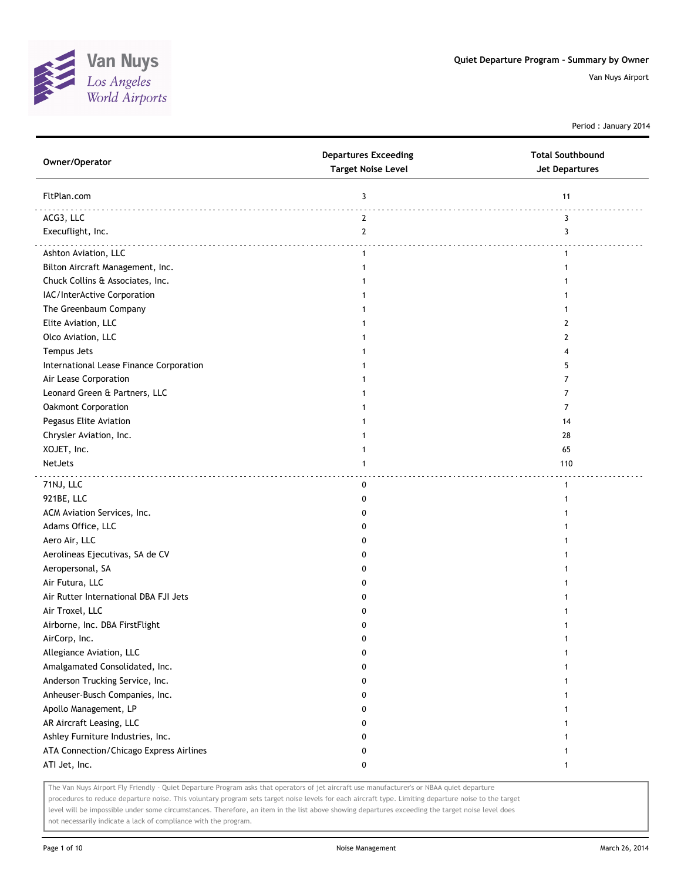

Period : January 2014

| Owner/Operator                          | <b>Departures Exceeding</b><br><b>Target Noise Level</b> | <b>Total Southbound</b><br><b>Jet Departures</b> |
|-----------------------------------------|----------------------------------------------------------|--------------------------------------------------|
| FltPlan.com                             | 3                                                        | 11                                               |
| ACG3, LLC                               | $\mathbf{2}$                                             | 3                                                |
| Execuflight, Inc.                       | $\mathbf{2}$                                             | 3                                                |
| Ashton Aviation, LLC                    | $\mathbf{1}$                                             | $\mathbf{1}$                                     |
| Bilton Aircraft Management, Inc.        | 1                                                        | 1                                                |
| Chuck Collins & Associates, Inc.        |                                                          |                                                  |
| IAC/InterActive Corporation             |                                                          |                                                  |
| The Greenbaum Company                   |                                                          |                                                  |
| Elite Aviation, LLC                     |                                                          | 2                                                |
| Olco Aviation, LLC                      |                                                          | 2                                                |
| Tempus Jets                             |                                                          | 4                                                |
| International Lease Finance Corporation |                                                          | 5                                                |
| Air Lease Corporation                   |                                                          | 7                                                |
| Leonard Green & Partners, LLC           |                                                          | 7                                                |
| Oakmont Corporation                     |                                                          | 7                                                |
| Pegasus Elite Aviation                  |                                                          | 14                                               |
| Chrysler Aviation, Inc.                 |                                                          | 28                                               |
| XOJET, Inc.                             |                                                          | 65                                               |
| NetJets                                 | 1                                                        | 110                                              |
| 71NJ, LLC                               | 0                                                        | $\mathbf{1}$                                     |
| 921BE, LLC                              | 0                                                        | 1                                                |
| ACM Aviation Services, Inc.             | 0                                                        |                                                  |
| Adams Office, LLC                       | 0                                                        |                                                  |
| Aero Air, LLC                           | 0                                                        |                                                  |
| Aerolineas Ejecutivas, SA de CV         | 0                                                        |                                                  |
| Aeropersonal, SA                        | 0                                                        |                                                  |
| Air Futura, LLC                         | 0                                                        |                                                  |
| Air Rutter International DBA FJI Jets   | 0                                                        |                                                  |
| Air Troxel, LLC                         | 0                                                        |                                                  |
| Airborne, Inc. DBA FirstFlight          | 0                                                        |                                                  |
| AirCorp, Inc.                           | 0                                                        |                                                  |
| Allegiance Aviation, LLC                | 0                                                        | 1                                                |
| Amalgamated Consolidated, Inc.          | 0                                                        |                                                  |
| Anderson Trucking Service, Inc.         | 0                                                        |                                                  |
| Anheuser-Busch Companies, Inc.          | 0                                                        |                                                  |
| Apollo Management, LP                   | 0                                                        |                                                  |
| AR Aircraft Leasing, LLC                | 0                                                        |                                                  |
| Ashley Furniture Industries, Inc.       | 0                                                        |                                                  |
| ATA Connection/Chicago Express Airlines | 0                                                        |                                                  |
| ATI Jet, Inc.                           | 0                                                        | 1                                                |

The Van Nuys Airport Fly Friendly - Quiet Departure Program asks that operators of jet aircraft use manufacturer's or NBAA quiet departure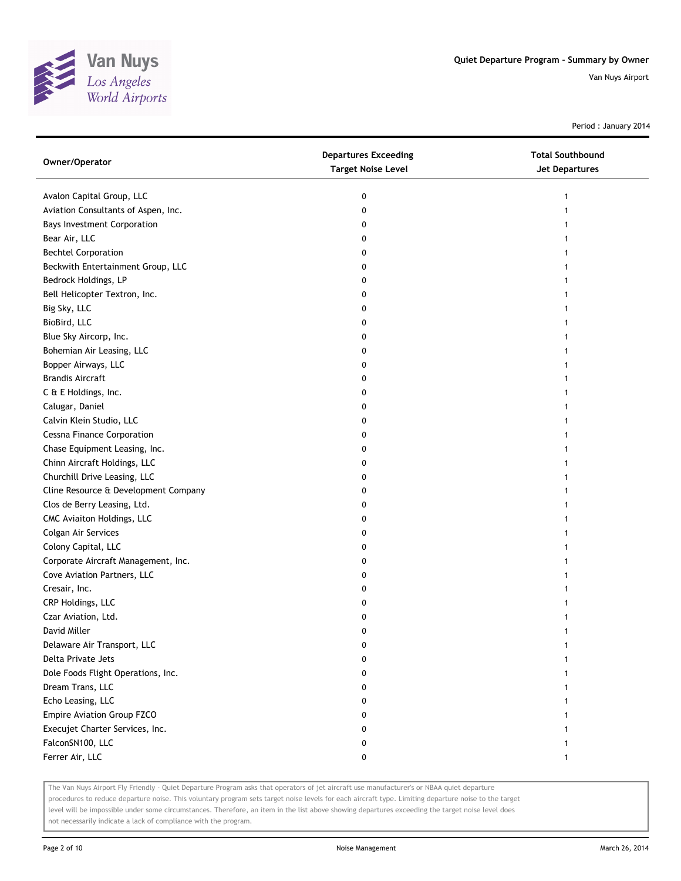

Period : January 2014

| Owner/Operator                       | <b>Departures Exceeding</b><br><b>Target Noise Level</b> | <b>Total Southbound</b><br><b>Jet Departures</b> |
|--------------------------------------|----------------------------------------------------------|--------------------------------------------------|
| Avalon Capital Group, LLC            | 0                                                        |                                                  |
| Aviation Consultants of Aspen, Inc.  | 0                                                        |                                                  |
| <b>Bays Investment Corporation</b>   | 0                                                        |                                                  |
| Bear Air, LLC                        | 0                                                        |                                                  |
| <b>Bechtel Corporation</b>           | 0                                                        |                                                  |
| Beckwith Entertainment Group, LLC    | 0                                                        |                                                  |
| Bedrock Holdings, LP                 | 0                                                        |                                                  |
| Bell Helicopter Textron, Inc.        | 0                                                        |                                                  |
| Big Sky, LLC                         | 0                                                        |                                                  |
| BioBird, LLC                         | 0                                                        |                                                  |
| Blue Sky Aircorp, Inc.               | 0                                                        |                                                  |
| Bohemian Air Leasing, LLC            | 0                                                        |                                                  |
| Bopper Airways, LLC                  | 0                                                        |                                                  |
| <b>Brandis Aircraft</b>              | 0                                                        |                                                  |
| C & E Holdings, Inc.                 | 0                                                        |                                                  |
| Calugar, Daniel                      | 0                                                        |                                                  |
| Calvin Klein Studio, LLC             | 0                                                        |                                                  |
| <b>Cessna Finance Corporation</b>    | 0                                                        |                                                  |
| Chase Equipment Leasing, Inc.        | 0                                                        |                                                  |
| Chinn Aircraft Holdings, LLC         | 0                                                        |                                                  |
| Churchill Drive Leasing, LLC         | 0                                                        |                                                  |
| Cline Resource & Development Company | 0                                                        |                                                  |
| Clos de Berry Leasing, Ltd.          | 0                                                        |                                                  |
| CMC Aviaiton Holdings, LLC           | 0                                                        |                                                  |
| Colgan Air Services                  | 0                                                        |                                                  |
| Colony Capital, LLC                  | 0                                                        |                                                  |
| Corporate Aircraft Management, Inc.  | 0                                                        |                                                  |
| Cove Aviation Partners, LLC          | 0                                                        |                                                  |
| Cresair, Inc.                        | 0                                                        |                                                  |
| CRP Holdings, LLC                    | 0                                                        |                                                  |
| Czar Aviation, Ltd.                  | 0                                                        |                                                  |
| David Miller                         | 0                                                        |                                                  |
| Delaware Air Transport, LLC          | 0                                                        |                                                  |
| Delta Private Jets                   | 0                                                        |                                                  |
| Dole Foods Flight Operations, Inc.   | 0                                                        |                                                  |
| Dream Trans, LLC                     | 0                                                        |                                                  |
| Echo Leasing, LLC                    | 0                                                        |                                                  |
| Empire Aviation Group FZCO           | 0                                                        |                                                  |
| Execujet Charter Services, Inc.      | 0                                                        |                                                  |
| FalconSN100, LLC                     | 0                                                        |                                                  |
| Ferrer Air, LLC                      | 0                                                        | 1                                                |

The Van Nuys Airport Fly Friendly - Quiet Departure Program asks that operators of jet aircraft use manufacturer's or NBAA quiet departure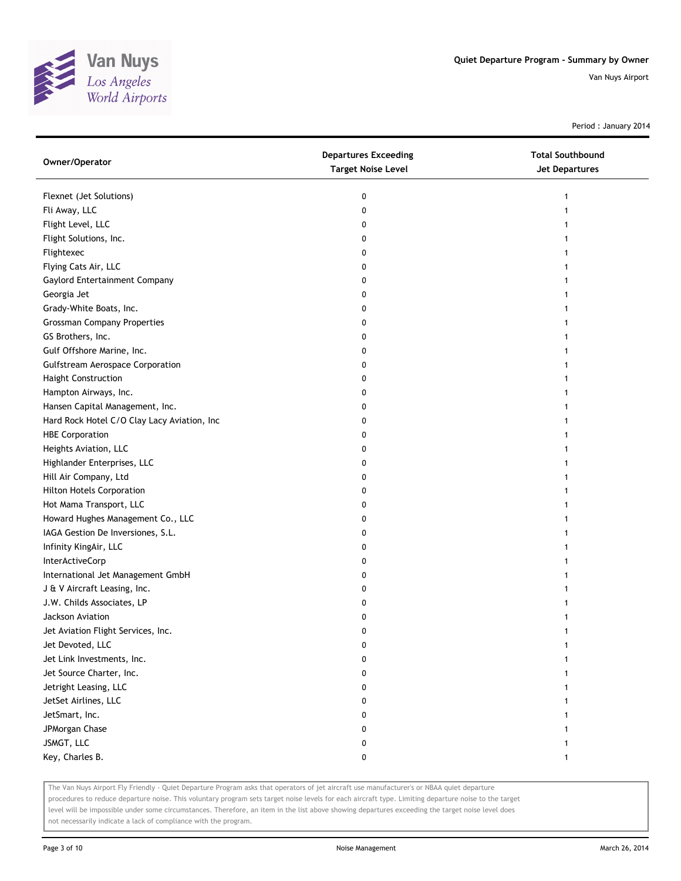

Period : January 2014

| Owner/Operator                              | <b>Departures Exceeding</b><br><b>Target Noise Level</b> | <b>Total Southbound</b><br>Jet Departures |
|---------------------------------------------|----------------------------------------------------------|-------------------------------------------|
| Flexnet (Jet Solutions)                     | 0                                                        | 1                                         |
| Fli Away, LLC                               | 0                                                        | 1                                         |
| Flight Level, LLC                           | 0                                                        |                                           |
| Flight Solutions, Inc.                      | 0                                                        |                                           |
| Flightexec                                  | 0                                                        |                                           |
| Flying Cats Air, LLC                        | 0                                                        | 1                                         |
| Gaylord Entertainment Company               | 0                                                        | 1                                         |
| Georgia Jet                                 | 0                                                        |                                           |
| Grady-White Boats, Inc.                     | 0                                                        |                                           |
| <b>Grossman Company Properties</b>          | 0                                                        |                                           |
| GS Brothers, Inc.                           | 0                                                        |                                           |
| Gulf Offshore Marine, Inc.                  | 0                                                        |                                           |
| <b>Gulfstream Aerospace Corporation</b>     | 0                                                        |                                           |
| <b>Haight Construction</b>                  | 0                                                        |                                           |
| Hampton Airways, Inc.                       | 0                                                        |                                           |
| Hansen Capital Management, Inc.             | 0                                                        | 1                                         |
| Hard Rock Hotel C/O Clay Lacy Aviation, Inc | 0                                                        | 1                                         |
| <b>HBE Corporation</b>                      | 0                                                        |                                           |
| Heights Aviation, LLC                       | 0                                                        |                                           |
| Highlander Enterprises, LLC                 | 0                                                        |                                           |
| Hill Air Company, Ltd                       | 0                                                        |                                           |
| <b>Hilton Hotels Corporation</b>            | 0                                                        |                                           |
| Hot Mama Transport, LLC                     | 0                                                        |                                           |
| Howard Hughes Management Co., LLC           | 0                                                        |                                           |
| IAGA Gestion De Inversiones, S.L.           | 0                                                        |                                           |
| Infinity KingAir, LLC                       | 0                                                        |                                           |
| InterActiveCorp                             | 0                                                        |                                           |
| International Jet Management GmbH           | 0                                                        |                                           |
| J & V Aircraft Leasing, Inc.                | 0                                                        |                                           |
| J.W. Childs Associates, LP                  | 0                                                        |                                           |
| Jackson Aviation                            | 0                                                        |                                           |
| Jet Aviation Flight Services, Inc.          | 0                                                        | 1                                         |
| Jet Devoted, LLC                            | 0                                                        |                                           |
| Jet Link Investments, Inc.                  | 0                                                        |                                           |
| Jet Source Charter, Inc.                    | 0                                                        |                                           |
| Jetright Leasing, LLC                       | 0                                                        |                                           |
| JetSet Airlines, LLC                        | 0                                                        |                                           |
| JetSmart, Inc.                              | 0                                                        |                                           |
| JPMorgan Chase                              | 0                                                        |                                           |
| JSMGT, LLC                                  | 0                                                        |                                           |
| Key, Charles B.                             | 0                                                        |                                           |

The Van Nuys Airport Fly Friendly - Quiet Departure Program asks that operators of jet aircraft use manufacturer's or NBAA quiet departure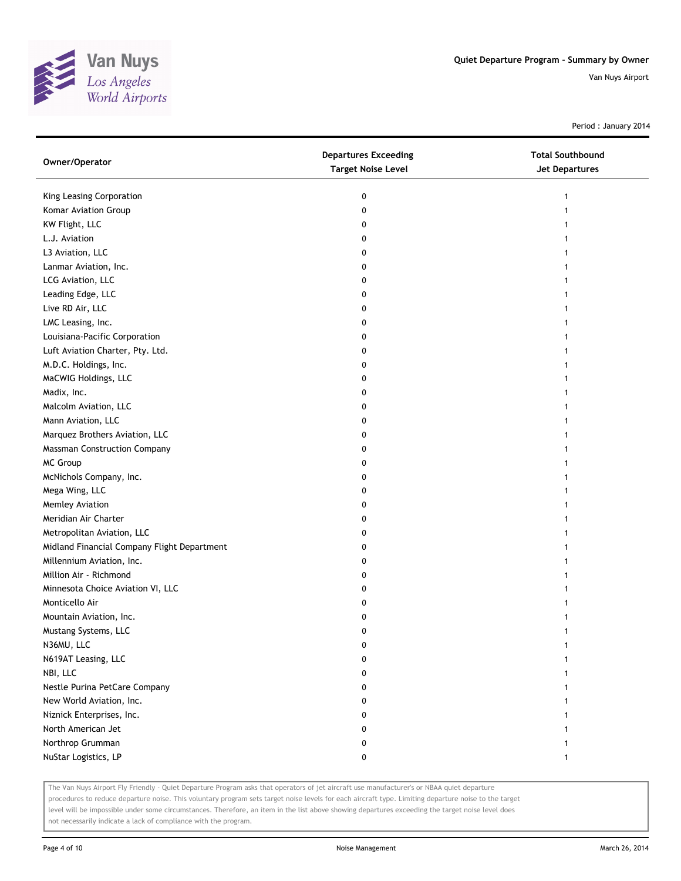

Period : January 2014

| Owner/Operator                              | <b>Departures Exceeding</b><br><b>Target Noise Level</b> | <b>Total Southbound</b><br><b>Jet Departures</b> |
|---------------------------------------------|----------------------------------------------------------|--------------------------------------------------|
| King Leasing Corporation                    | 0                                                        |                                                  |
| Komar Aviation Group                        | 0                                                        |                                                  |
| KW Flight, LLC                              | 0                                                        |                                                  |
| L.J. Aviation                               | 0                                                        |                                                  |
| L3 Aviation, LLC                            | 0                                                        |                                                  |
| Lanmar Aviation, Inc.                       | 0                                                        |                                                  |
| LCG Aviation, LLC                           | 0                                                        |                                                  |
| Leading Edge, LLC                           | 0                                                        |                                                  |
| Live RD Air, LLC                            | 0                                                        |                                                  |
| LMC Leasing, Inc.                           | 0                                                        |                                                  |
| Louisiana-Pacific Corporation               | 0                                                        |                                                  |
| Luft Aviation Charter, Pty. Ltd.            | 0                                                        |                                                  |
| M.D.C. Holdings, Inc.                       | 0                                                        |                                                  |
| MaCWIG Holdings, LLC                        | 0                                                        |                                                  |
| Madix, Inc.                                 | 0                                                        |                                                  |
| Malcolm Aviation, LLC                       | 0                                                        |                                                  |
| Mann Aviation, LLC                          | 0                                                        |                                                  |
| Marquez Brothers Aviation, LLC              | 0                                                        |                                                  |
| <b>Massman Construction Company</b>         | 0                                                        |                                                  |
| MC Group                                    | 0                                                        |                                                  |
| McNichols Company, Inc.                     | 0                                                        |                                                  |
| Mega Wing, LLC                              | 0                                                        |                                                  |
| Memley Aviation                             | 0                                                        |                                                  |
| Meridian Air Charter                        | 0                                                        |                                                  |
| Metropolitan Aviation, LLC                  | 0                                                        |                                                  |
| Midland Financial Company Flight Department | 0                                                        |                                                  |
| Millennium Aviation, Inc.                   | 0                                                        |                                                  |
| Million Air - Richmond                      | 0                                                        |                                                  |
| Minnesota Choice Aviation VI, LLC           | 0                                                        |                                                  |
| Monticello Air                              | 0                                                        |                                                  |
| Mountain Aviation, Inc.                     | 0                                                        |                                                  |
| Mustang Systems, LLC                        | 0                                                        |                                                  |
| N36MU, LLC                                  | 0                                                        |                                                  |
| N619AT Leasing, LLC                         |                                                          |                                                  |
| NBI, LLC                                    | o                                                        |                                                  |
| Nestle Purina PetCare Company               | 0                                                        |                                                  |
| New World Aviation, Inc.                    | 0                                                        |                                                  |
| Niznick Enterprises, Inc.                   | 0                                                        |                                                  |
| North American Jet                          | 0                                                        |                                                  |
| Northrop Grumman                            | 0                                                        |                                                  |
| NuStar Logistics, LP                        | 0                                                        | 1                                                |

The Van Nuys Airport Fly Friendly - Quiet Departure Program asks that operators of jet aircraft use manufacturer's or NBAA quiet departure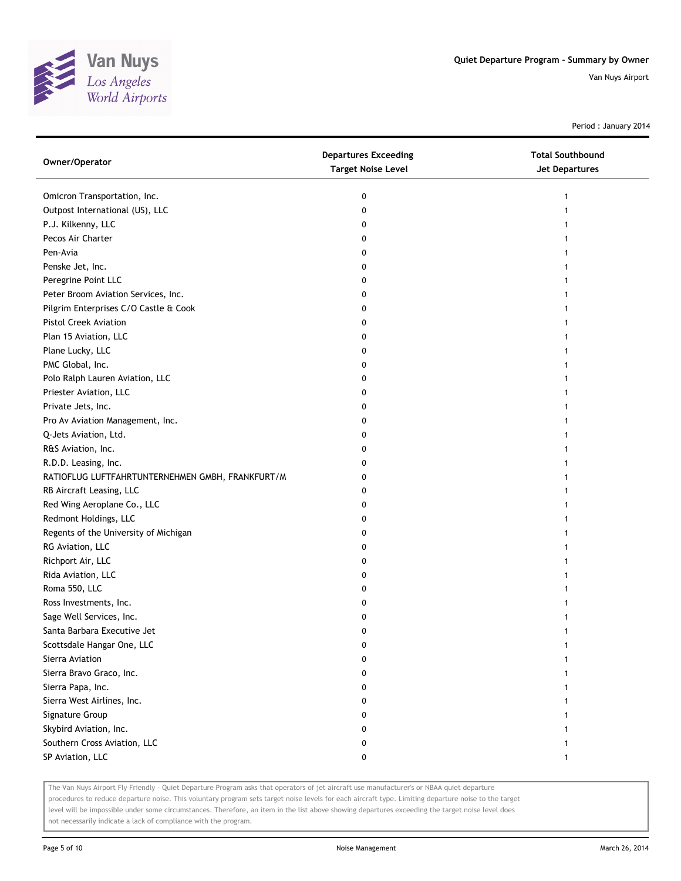

Period : January 2014

| Owner/Operator                                   | <b>Departures Exceeding</b><br><b>Target Noise Level</b> | <b>Total Southbound</b><br>Jet Departures |
|--------------------------------------------------|----------------------------------------------------------|-------------------------------------------|
| Omicron Transportation, Inc.                     | 0                                                        | 1                                         |
| Outpost International (US), LLC                  | 0                                                        | 1                                         |
| P.J. Kilkenny, LLC                               | 0                                                        |                                           |
| Pecos Air Charter                                | 0                                                        |                                           |
| Pen-Avia                                         | 0                                                        |                                           |
| Penske Jet, Inc.                                 | 0                                                        |                                           |
| Peregrine Point LLC                              | 0                                                        |                                           |
| Peter Broom Aviation Services, Inc.              | 0                                                        |                                           |
| Pilgrim Enterprises C/O Castle & Cook            | 0                                                        |                                           |
| Pistol Creek Aviation                            | 0                                                        |                                           |
| Plan 15 Aviation, LLC                            | 0                                                        |                                           |
| Plane Lucky, LLC                                 | 0                                                        |                                           |
| PMC Global, Inc.                                 | 0                                                        |                                           |
| Polo Ralph Lauren Aviation, LLC                  | 0                                                        |                                           |
| Priester Aviation, LLC                           | 0                                                        |                                           |
| Private Jets, Inc.                               | 0                                                        |                                           |
| Pro Av Aviation Management, Inc.                 | 0                                                        |                                           |
| Q-Jets Aviation, Ltd.                            | 0                                                        |                                           |
| R&S Aviation, Inc.                               | 0                                                        |                                           |
| R.D.D. Leasing, Inc.                             | 0                                                        |                                           |
| RATIOFLUG LUFTFAHRTUNTERNEHMEN GMBH, FRANKFURT/M | 0                                                        |                                           |
| RB Aircraft Leasing, LLC                         | 0                                                        |                                           |
| Red Wing Aeroplane Co., LLC                      | 0                                                        |                                           |
| Redmont Holdings, LLC                            | 0                                                        |                                           |
| Regents of the University of Michigan            | 0                                                        |                                           |
| RG Aviation, LLC                                 | 0                                                        |                                           |
| Richport Air, LLC                                | 0                                                        |                                           |
| Rida Aviation, LLC                               | 0                                                        |                                           |
| Roma 550, LLC                                    | 0                                                        |                                           |
| Ross Investments, Inc.                           | 0                                                        |                                           |
| Sage Well Services, Inc.                         | 0                                                        |                                           |
| Santa Barbara Executive Jet                      | 0                                                        | 1                                         |
| Scottsdale Hangar One, LLC                       |                                                          |                                           |
| Sierra Aviation                                  |                                                          |                                           |
| Sierra Bravo Graco, Inc.                         | 0                                                        |                                           |
| Sierra Papa, Inc.                                | 0                                                        |                                           |
| Sierra West Airlines, Inc.                       | 0                                                        |                                           |
| Signature Group                                  | 0                                                        |                                           |
| Skybird Aviation, Inc.                           | U                                                        |                                           |
| Southern Cross Aviation, LLC                     | 0                                                        |                                           |
| SP Aviation, LLC                                 | 0                                                        |                                           |

The Van Nuys Airport Fly Friendly - Quiet Departure Program asks that operators of jet aircraft use manufacturer's or NBAA quiet departure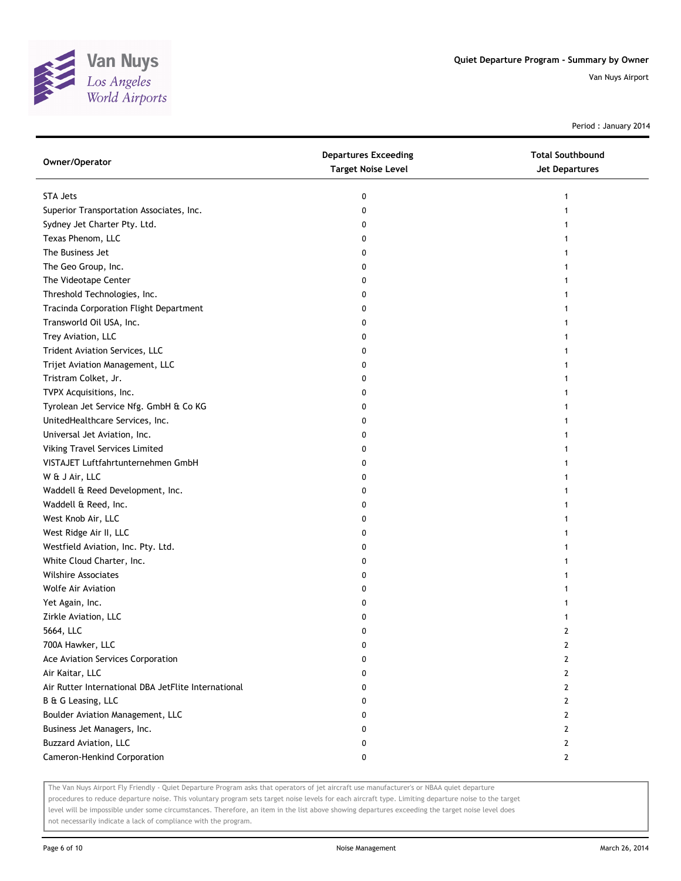

Period : January 2014

| Owner/Operator                                      | <b>Departures Exceeding</b><br><b>Target Noise Level</b> | <b>Total Southbound</b><br><b>Jet Departures</b> |
|-----------------------------------------------------|----------------------------------------------------------|--------------------------------------------------|
| <b>STA Jets</b>                                     | 0                                                        | 1                                                |
| Superior Transportation Associates, Inc.            | 0                                                        |                                                  |
| Sydney Jet Charter Pty. Ltd.                        | 0                                                        |                                                  |
| Texas Phenom, LLC                                   | 0                                                        |                                                  |
| The Business Jet                                    | 0                                                        |                                                  |
| The Geo Group, Inc.                                 | 0                                                        |                                                  |
| The Videotape Center                                | 0                                                        |                                                  |
| Threshold Technologies, Inc.                        | 0                                                        |                                                  |
| Tracinda Corporation Flight Department              | 0                                                        |                                                  |
| Transworld Oil USA, Inc.                            | 0                                                        |                                                  |
| Trey Aviation, LLC                                  | 0                                                        |                                                  |
| Trident Aviation Services, LLC                      | 0                                                        |                                                  |
| Trijet Aviation Management, LLC                     | 0                                                        |                                                  |
| Tristram Colket, Jr.                                | 0                                                        |                                                  |
| TVPX Acquisitions, Inc.                             | 0                                                        |                                                  |
| Tyrolean Jet Service Nfg. GmbH & Co KG              | 0                                                        |                                                  |
| UnitedHealthcare Services, Inc.                     | 0                                                        |                                                  |
| Universal Jet Aviation, Inc.                        | 0                                                        |                                                  |
| Viking Travel Services Limited                      | 0                                                        |                                                  |
| VISTAJET Luftfahrtunternehmen GmbH                  | 0                                                        |                                                  |
| W & J Air, LLC                                      | 0                                                        |                                                  |
| Waddell & Reed Development, Inc.                    | 0                                                        |                                                  |
| Waddell & Reed, Inc.                                | 0                                                        |                                                  |
| West Knob Air, LLC                                  | 0                                                        |                                                  |
| West Ridge Air II, LLC                              | 0                                                        |                                                  |
| Westfield Aviation, Inc. Pty. Ltd.                  | 0                                                        |                                                  |
| White Cloud Charter, Inc.                           | 0                                                        |                                                  |
| Wilshire Associates                                 | 0                                                        |                                                  |
| Wolfe Air Aviation                                  | 0                                                        |                                                  |
| Yet Again, Inc.                                     | 0                                                        |                                                  |
| Zirkle Aviation, LLC                                | 0                                                        |                                                  |
| 5664, LLC                                           | 0                                                        | 2                                                |
| 700A Hawker, LLC                                    | U                                                        | 2                                                |
| Ace Aviation Services Corporation                   | 0                                                        | 2                                                |
| Air Kaitar, LLC                                     | 0                                                        | 2                                                |
| Air Rutter International DBA JetFlite International | 0                                                        | 2                                                |
| B & G Leasing, LLC                                  | 0                                                        | 2                                                |
| Boulder Aviation Management, LLC                    | 0                                                        | 2                                                |
| Business Jet Managers, Inc.                         | 0                                                        | 2                                                |
| <b>Buzzard Aviation, LLC</b>                        | 0                                                        | 2                                                |
| Cameron-Henkind Corporation                         | 0                                                        | 2                                                |

The Van Nuys Airport Fly Friendly - Quiet Departure Program asks that operators of jet aircraft use manufacturer's or NBAA quiet departure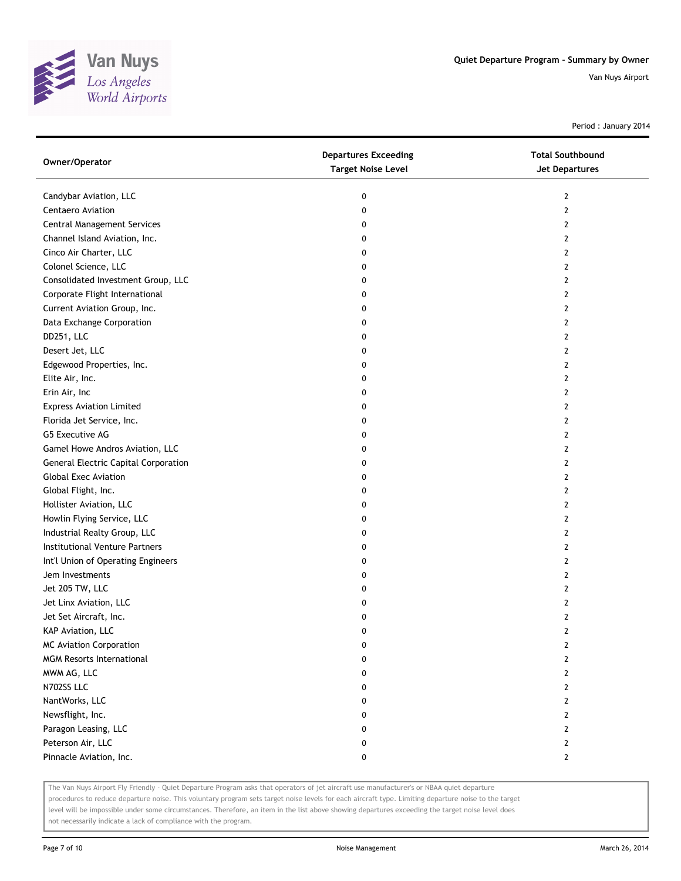

Period : January 2014

| Owner/Operator                              | <b>Departures Exceeding</b><br><b>Target Noise Level</b> | <b>Total Southbound</b><br>Jet Departures |
|---------------------------------------------|----------------------------------------------------------|-------------------------------------------|
| Candybar Aviation, LLC                      | 0                                                        | 2                                         |
| Centaero Aviation                           | 0                                                        | 2                                         |
| Central Management Services                 | 0                                                        | 2                                         |
| Channel Island Aviation, Inc.               | 0                                                        | 2                                         |
| Cinco Air Charter, LLC                      | 0                                                        | 2                                         |
| Colonel Science, LLC                        | 0                                                        | 2                                         |
| Consolidated Investment Group, LLC          | 0                                                        | 2                                         |
| Corporate Flight International              | 0                                                        | 2                                         |
| Current Aviation Group, Inc.                | 0                                                        | 2                                         |
| Data Exchange Corporation                   | 0                                                        | 2                                         |
| DD251, LLC                                  | 0                                                        | 2                                         |
| Desert Jet, LLC                             | 0                                                        | 2                                         |
| Edgewood Properties, Inc.                   | 0                                                        | 2                                         |
| Elite Air, Inc.                             | 0                                                        | 2                                         |
| Erin Air, Inc                               | 0                                                        | 2                                         |
| <b>Express Aviation Limited</b>             | 0                                                        | 2                                         |
| Florida Jet Service, Inc.                   | 0                                                        | 2                                         |
| G5 Executive AG                             | 0                                                        | 2                                         |
| Gamel Howe Andros Aviation, LLC             | 0                                                        | 2                                         |
| <b>General Electric Capital Corporation</b> | 0                                                        | 2                                         |
| <b>Global Exec Aviation</b>                 | 0                                                        | 2                                         |
| Global Flight, Inc.                         | 0                                                        | 2                                         |
| Hollister Aviation, LLC                     | 0                                                        | 2                                         |
| Howlin Flying Service, LLC                  | 0                                                        | 2                                         |
| Industrial Realty Group, LLC                | 0                                                        | 2                                         |
| Institutional Venture Partners              | 0                                                        | 2                                         |
| Int'l Union of Operating Engineers          | 0                                                        | 2                                         |
| Jem Investments                             | 0                                                        | 2                                         |
| Jet 205 TW, LLC                             | 0                                                        | 2                                         |
| Jet Linx Aviation, LLC                      | 0                                                        | 2                                         |
| Jet Set Aircraft, Inc.                      | 0                                                        | 2                                         |
| KAP Aviation, LLC                           | 0                                                        | 2                                         |
| MC Aviation Corporation                     | 0                                                        | 2                                         |
| <b>MGM Resorts International</b>            | 0                                                        | 2                                         |
| MWM AG, LLC                                 | 0                                                        | 2                                         |
| N702SS LLC                                  | 0                                                        | 2                                         |
| NantWorks, LLC                              | 0                                                        | $\overline{2}$                            |
| Newsflight, Inc.                            | 0                                                        | 2                                         |
| Paragon Leasing, LLC                        | 0                                                        | 2                                         |
| Peterson Air, LLC                           | 0                                                        | 2                                         |
| Pinnacle Aviation, Inc.                     | 0                                                        | $\mathbf{2}$                              |

The Van Nuys Airport Fly Friendly - Quiet Departure Program asks that operators of jet aircraft use manufacturer's or NBAA quiet departure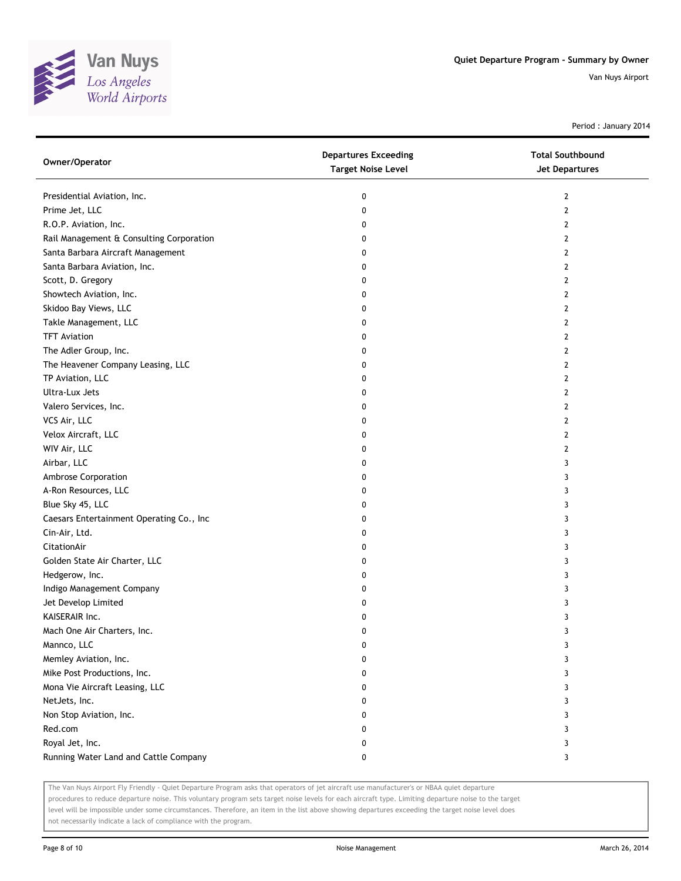

Period : January 2014

| Owner/Operator                           | <b>Departures Exceeding</b><br><b>Target Noise Level</b> | <b>Total Southbound</b><br>Jet Departures |
|------------------------------------------|----------------------------------------------------------|-------------------------------------------|
| Presidential Aviation, Inc.              | 0                                                        | 2                                         |
| Prime Jet, LLC                           | 0                                                        | 2                                         |
| R.O.P. Aviation, Inc.                    | 0                                                        | 2                                         |
| Rail Management & Consulting Corporation | 0                                                        | 2                                         |
| Santa Barbara Aircraft Management        | 0                                                        | 2                                         |
| Santa Barbara Aviation, Inc.             | 0                                                        | 2                                         |
| Scott, D. Gregory                        | 0                                                        | 2                                         |
| Showtech Aviation, Inc.                  | 0                                                        | 2                                         |
| Skidoo Bay Views, LLC                    | 0                                                        | 2                                         |
| Takle Management, LLC                    | 0                                                        | 2                                         |
| <b>TFT Aviation</b>                      | 0                                                        | 2                                         |
| The Adler Group, Inc.                    | 0                                                        | 2                                         |
| The Heavener Company Leasing, LLC        | 0                                                        | 2                                         |
| TP Aviation, LLC                         | 0                                                        | 2                                         |
| Ultra-Lux Jets                           | 0                                                        | 2                                         |
| Valero Services, Inc.                    | 0                                                        | 2                                         |
| VCS Air, LLC                             | 0                                                        | 2                                         |
| Velox Aircraft, LLC                      | 0                                                        | 2                                         |
| WIV Air, LLC                             | 0                                                        | 2                                         |
| Airbar, LLC                              | 0                                                        | 3                                         |
| Ambrose Corporation                      | 0                                                        | 3                                         |
| A-Ron Resources, LLC                     | 0                                                        | 3                                         |
| Blue Sky 45, LLC                         | 0                                                        | 3                                         |
| Caesars Entertainment Operating Co., Inc | 0                                                        | 3                                         |
| Cin-Air, Ltd.                            | 0                                                        | 3                                         |
| CitationAir                              | 0                                                        | 3                                         |
| Golden State Air Charter, LLC            | 0                                                        | 3                                         |
| Hedgerow, Inc.                           | 0                                                        | 3                                         |
| Indigo Management Company                | 0                                                        | 3                                         |
| Jet Develop Limited                      | 0                                                        | 3                                         |
| KAISERAIR Inc.                           | 0                                                        | 3                                         |
| Mach One Air Charters, Inc.              | 0                                                        | 3                                         |
| Mannco, LLC                              | 0                                                        | 3                                         |
| Memley Aviation, Inc.                    | 0                                                        | 3                                         |
| Mike Post Productions, Inc.              | 0                                                        | 3                                         |
| Mona Vie Aircraft Leasing, LLC           | 0                                                        | 3                                         |
| NetJets, Inc.                            | 0                                                        | 3                                         |
| Non Stop Aviation, Inc.                  | 0                                                        | 3                                         |
| Red.com                                  | 0                                                        | 3                                         |
| Royal Jet, Inc.                          | 0                                                        | 3                                         |
| Running Water Land and Cattle Company    | 0                                                        | 3                                         |

The Van Nuys Airport Fly Friendly - Quiet Departure Program asks that operators of jet aircraft use manufacturer's or NBAA quiet departure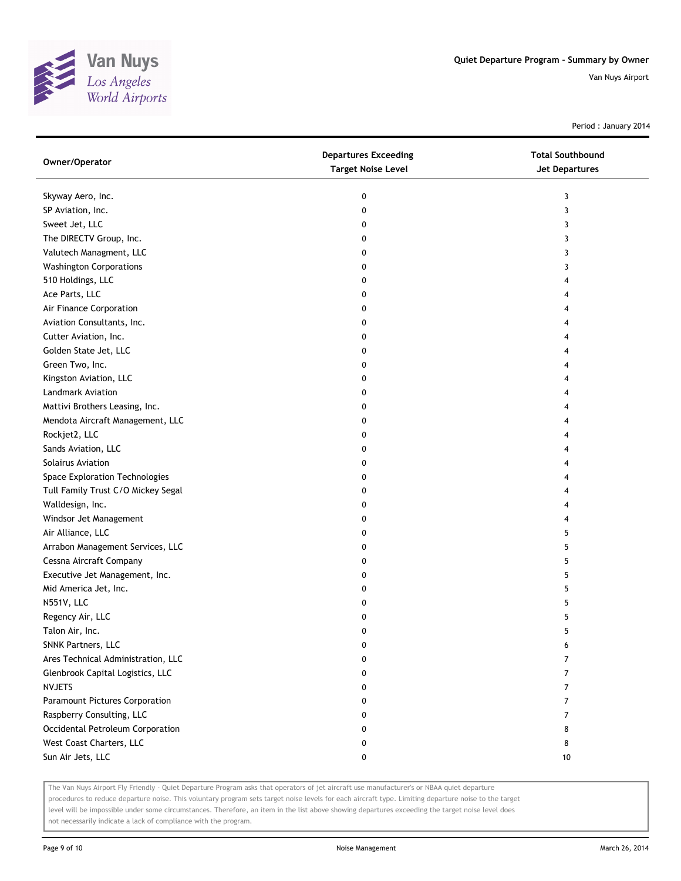

Period : January 2014

| Owner/Operator                     | <b>Departures Exceeding</b><br><b>Target Noise Level</b> | <b>Total Southbound</b><br><b>Jet Departures</b> |
|------------------------------------|----------------------------------------------------------|--------------------------------------------------|
| Skyway Aero, Inc.                  | 0                                                        | 3                                                |
| SP Aviation, Inc.                  | 0                                                        | 3                                                |
| Sweet Jet, LLC                     | 0                                                        | 3                                                |
| The DIRECTV Group, Inc.            | 0                                                        | 3                                                |
| Valutech Managment, LLC            | 0                                                        | 3                                                |
| <b>Washington Corporations</b>     | 0                                                        | 3                                                |
| 510 Holdings, LLC                  | 0                                                        |                                                  |
| Ace Parts, LLC                     | 0                                                        |                                                  |
| Air Finance Corporation            | 0                                                        |                                                  |
| Aviation Consultants, Inc.         | 0                                                        |                                                  |
| Cutter Aviation, Inc.              | 0                                                        |                                                  |
| Golden State Jet, LLC              | 0                                                        |                                                  |
| Green Two, Inc.                    | 0                                                        |                                                  |
| Kingston Aviation, LLC             | 0                                                        |                                                  |
| Landmark Aviation                  | 0                                                        |                                                  |
| Mattivi Brothers Leasing, Inc.     | 0                                                        |                                                  |
| Mendota Aircraft Management, LLC   | 0                                                        |                                                  |
| Rockjet2, LLC                      | 0                                                        |                                                  |
| Sands Aviation, LLC                | 0                                                        | 4                                                |
| Solairus Aviation                  | 0                                                        |                                                  |
| Space Exploration Technologies     | 0                                                        |                                                  |
| Tull Family Trust C/O Mickey Segal | 0                                                        |                                                  |
| Walldesign, Inc.                   | 0                                                        |                                                  |
| Windsor Jet Management             | 0                                                        |                                                  |
| Air Alliance, LLC                  | 0                                                        | 5                                                |
| Arrabon Management Services, LLC   | 0                                                        | 5                                                |
| Cessna Aircraft Company            | 0                                                        | 5                                                |
| Executive Jet Management, Inc.     | 0                                                        | 5                                                |
| Mid America Jet, Inc.              | 0                                                        | 5                                                |
| N551V, LLC                         | 0                                                        | 5                                                |
| Regency Air, LLC                   | 0                                                        | 5                                                |
| Talon Air, Inc.                    | 0                                                        | 5                                                |
| SNNK Partners, LLC                 | 0                                                        | 6                                                |
| Ares Technical Administration, LLC | 0                                                        | 7                                                |
| Glenbrook Capital Logistics, LLC   | 0                                                        | 7                                                |
| <b>NVJETS</b>                      | 0                                                        | 7                                                |
| Paramount Pictures Corporation     | 0                                                        | 7                                                |
| Raspberry Consulting, LLC          | 0                                                        | 7                                                |
| Occidental Petroleum Corporation   | 0                                                        | 8                                                |
| West Coast Charters, LLC           | 0                                                        | 8                                                |
| Sun Air Jets, LLC                  | 0                                                        | 10                                               |

The Van Nuys Airport Fly Friendly - Quiet Departure Program asks that operators of jet aircraft use manufacturer's or NBAA quiet departure